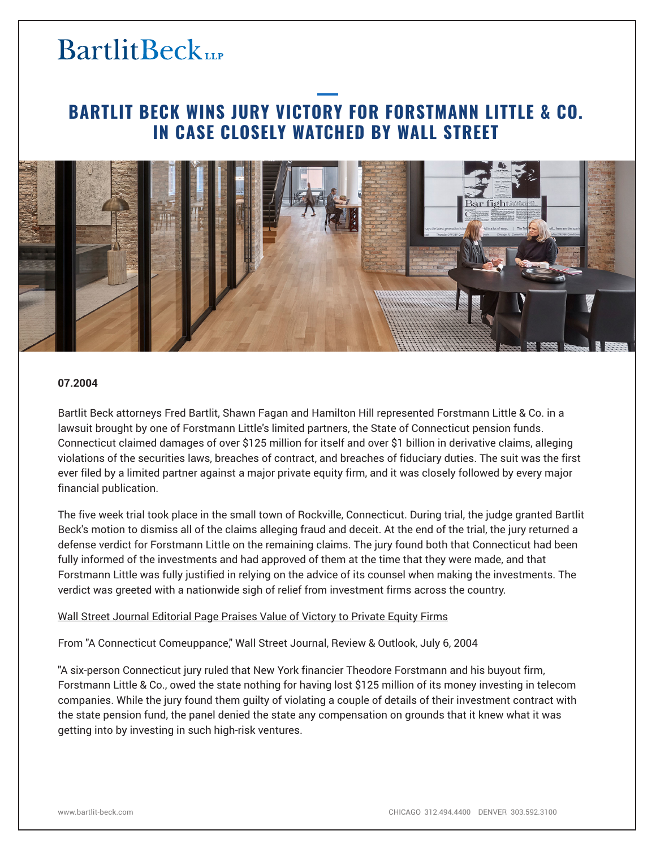# **BartlitBeck**

# **BARTLIT BECK WINS JURY VICTORY FOR FORSTMANN LITTLE & CO. IN CASE CLOSELY WATCHED BY WALL STREET**



## **07.2004**

Bartlit Beck attorneys Fred Bartlit, Shawn Fagan and Hamilton Hill represented Forstmann Little & Co. in a lawsuit brought by one of Forstmann Little's limited partners, the State of Connecticut pension funds. Connecticut claimed damages of over \$125 million for itself and over \$1 billion in derivative claims, alleging violations of the securities laws, breaches of contract, and breaches of fiduciary duties. The suit was the first ever filed by a limited partner against a major private equity firm, and it was closely followed by every major financial publication.

The five week trial took place in the small town of Rockville, Connecticut. During trial, the judge granted Bartlit Beck's motion to dismiss all of the claims alleging fraud and deceit. At the end of the trial, the jury returned a defense verdict for Forstmann Little on the remaining claims. The jury found both that Connecticut had been fully informed of the investments and had approved of them at the time that they were made, and that Forstmann Little was fully justified in relying on the advice of its counsel when making the investments. The verdict was greeted with a nationwide sigh of relief from investment firms across the country.

## Wall Street Journal Editorial Page Praises Value of Victory to Private Equity Firms

From "A Connecticut Comeuppance," Wall Street Journal, Review & Outlook, July 6, 2004

"A six-person Connecticut jury ruled that New York financier Theodore Forstmann and his buyout firm, Forstmann Little & Co., owed the state nothing for having lost \$125 million of its money investing in telecom companies. While the jury found them guilty of violating a couple of details of their investment contract with the state pension fund, the panel denied the state any compensation on grounds that it knew what it was getting into by investing in such high-risk ventures.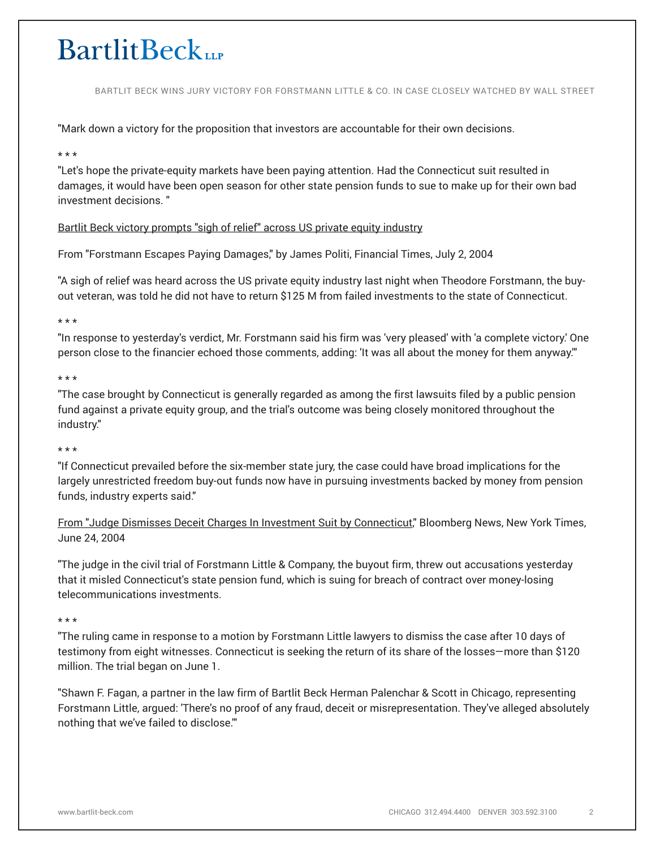# **BartlitBeckup**

BARTLIT BECK WINS JURY VICTORY FOR FORSTMANN LITTLE & CO. IN CASE CLOSELY WATCHED BY WALL STREET

"Mark down a victory for the proposition that investors are accountable for their own decisions.

#### \* \* \*

"Let's hope the private-equity markets have been paying attention. Had the Connecticut suit resulted in damages, it would have been open season for other state pension funds to sue to make up for their own bad investment decisions. "

# Bartlit Beck victory prompts "sigh of relief" across US private equity industry

From "Forstmann Escapes Paying Damages," by James Politi, Financial Times, July 2, 2004

"A sigh of relief was heard across the US private equity industry last night when Theodore Forstmann, the buyout veteran, was told he did not have to return \$125 M from failed investments to the state of Connecticut.

#### \* \* \*

"In response to yesterday's verdict, Mr. Forstmann said his firm was 'very pleased' with 'a complete victory.' One person close to the financier echoed those comments, adding: 'It was all about the money for them anyway.'"

#### \* \* \*

"The case brought by Connecticut is generally regarded as among the first lawsuits filed by a public pension fund against a private equity group, and the trial's outcome was being closely monitored throughout the industry."

#### \* \* \*

"If Connecticut prevailed before the six-member state jury, the case could have broad implications for the largely unrestricted freedom buy-out funds now have in pursuing investments backed by money from pension funds, industry experts said."

From "Judge Dismisses Deceit Charges In Investment Suit by Connecticut," Bloomberg News, New York Times, June 24, 2004

"The judge in the civil trial of Forstmann Little & Company, the buyout firm, threw out accusations yesterday that it misled Connecticut's state pension fund, which is suing for breach of contract over money-losing telecommunications investments.

#### \* \* \*

"The ruling came in response to a motion by Forstmann Little lawyers to dismiss the case after 10 days of testimony from eight witnesses. Connecticut is seeking the return of its share of the losses—more than \$120 million. The trial began on June 1.

"Shawn F. Fagan, a partner in the law firm of Bartlit Beck Herman Palenchar & Scott in Chicago, representing Forstmann Little, argued: 'There's no proof of any fraud, deceit or misrepresentation. They've alleged absolutely nothing that we've failed to disclose.'"